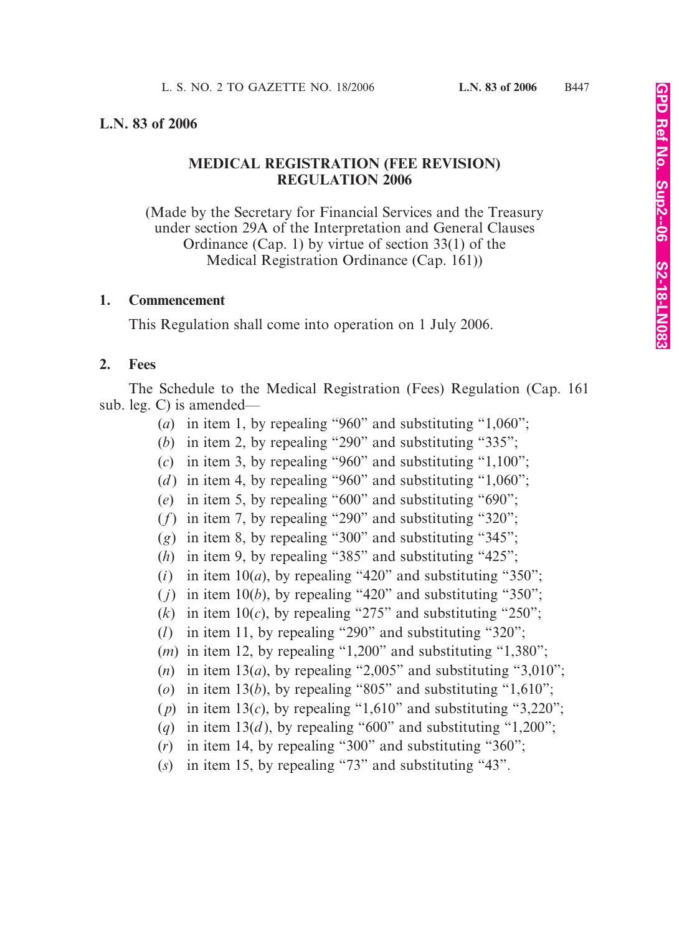#### **L.N. 83 of 2006**

## **MEDICAL REGISTRATION (FEE REVISION) REGULATION 2006**

(Made by the Secretary for Financial Services and the Treasury under section 29A of the Interpretation and General Clauses Ordinance (Cap. 1) by virtue of section 33(1) of the Medical Registration Ordinance (Cap. 161))

#### **1. Commencement**

This Regulation shall come into operation on 1 July 2006.

### **2. Fees**

The Schedule to the Medical Registration (Fees) Regulation (Cap. 161 sub. leg. C) is amended—

- (*a*) in item 1, by repealing "960" and substituting "1,060";
- (*b*) in item 2, by repealing "290" and substituting "335";
- (*c*) in item 3, by repealing "960" and substituting "1,100";
- (*d*) in item 4, by repealing "960" and substituting "1,060";
- (*e*) in item 5, by repealing "600" and substituting "690";
- (*f*) in item 7, by repealing "290" and substituting "320";
- (*g*) in item 8, by repealing "300" and substituting "345";
- (*h*) in item 9, by repealing "385" and substituting "425";
- (*i*) in item 10(*a*), by repealing "420" and substituting "350";
- ( $j$ ) in item 10( $b$ ), by repealing "420" and substituting "350";
- $(k)$  in item 10(*c*), by repealing "275" and substituting "250";
- (*l*) in item 11, by repealing "290" and substituting "320";
- (*m*) in item 12, by repealing "1,200" and substituting "1,380";
- $(n)$  in item 13(*a*), by repealing "2,005" and substituting "3,010";
- (*o*) in item 13(*b*), by repealing "805" and substituting "1,610";
- ( $p$ ) in item 13( $c$ ), by repealing "1,610" and substituting "3,220";
- (*q*) in item 13(*d*), by repealing "600" and substituting "1,200";
- (*r*) in item 14, by repealing "300" and substituting "360";
- (*s*) in item 15, by repealing "73" and substituting "43".